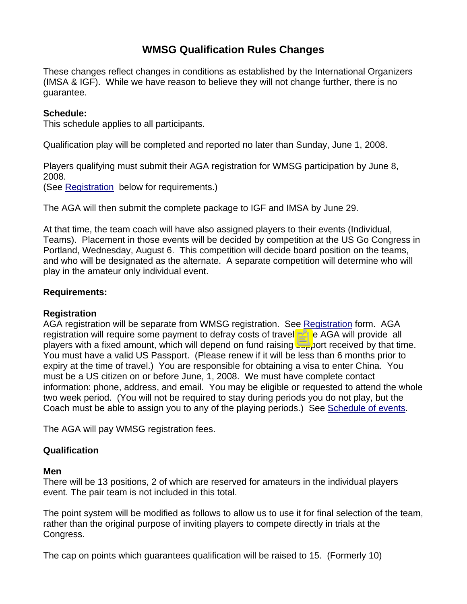# **WMSG Qualification Rules Changes**

These changes reflect changes in conditions as established by the International Organizers (IMSA & IGF). While we have reason to believe they will not change further, there is no guarantee.

#### **Schedule:**

This schedule applies to all participants.

Qualification play will be completed and reported no later than Sunday, June 1, 2008.

Players qualifying must submit their AGA registration for WMSG participation by June 8, 2008.

(See Registration below for requirements.)

The AGA will then submit the complete package to IGF and IMSA by June 29.

At that time, the team coach will have also assigned players to their events (Individual, Teams). Placement in those events will be decided by competition at the US Go Congress in Portland, Wednesday, August 6. This competition will decide board position on the teams, and who will be designated as the alternate. A separate competition will determine who will play in the amateur only individual event.

#### **Requirements:**

#### **Registration**

AGA registration will be separate from WMSG registration. See Registration form. AGA registration will require some payment to defray costs of travel. The AGA will provide all players with a fixed amount, which will depend on fund raising support received by that time. You must have a valid US Passport. (Please renew if it will be less than 6 months prior to expiry at the time of travel.) You are responsible for obtaining a visa to enter China. You must be a US citizen on or before June, 1, 2008. We must have complete contact information: phone, address, and email. You may be eligible or requested to attend the whole two week period. (You will not be required to stay during periods you do not play, but the Coach must be able to assign you to any of the playing periods.) See Schedule of events.

The AGA will pay WMSG registration fees.

### **Qualification**

#### **Men**

There will be 13 positions, 2 of which are reserved for amateurs in the individual players event. The pair team is not included in this total.

The point system will be modified as follows to allow us to use it for final selection of the team, rather than the original purpose of inviting players to compete directly in trials at the Congress.

The cap on points which guarantees qualification will be raised to 15. (Formerly 10)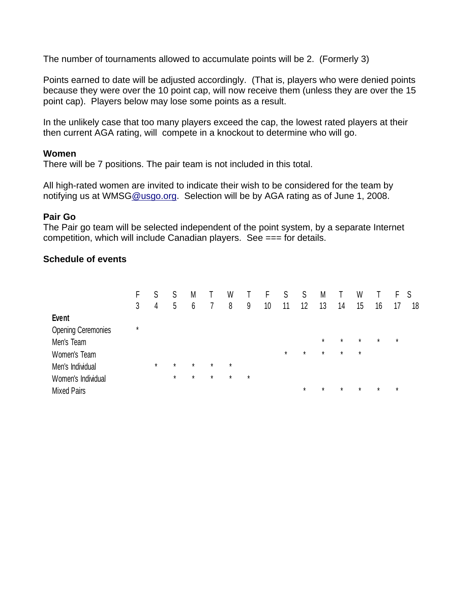The number of tournaments allowed to accumulate points will be 2. (Formerly 3)

Points earned to date will be adjusted accordingly. (That is, players who were denied points because they were over the 10 point cap, will now receive them (unless they are over the 15 point cap). Players below may lose some points as a result.

In the unlikely case that too many players exceed the cap, the lowest rated players at their then current AGA rating, will compete in a knockout to determine who will go.

#### **Women**

There will be 7 positions. The pair team is not included in this total.

All high-rated women are invited to indicate their wish to be considered for the team by notifying us at WMSG[@usgo.org.](mailto:wmsg@usgo.org) Selection will be by AGA rating as of June 1, 2008.

#### **Pair Go**

The Pair go team will be selected independent of the point system, by a separate Internet competition, which will include Canadian players. See === for details.

#### **Schedule of events**

|                           | н.       | S       | S       | M       |         | W       |         |    | S       | S       | M       |         | W       |         | н.      | S  |
|---------------------------|----------|---------|---------|---------|---------|---------|---------|----|---------|---------|---------|---------|---------|---------|---------|----|
|                           | 3        | 4       | 5       | 6       |         | 8       | 9       | 10 | 11      | 12      | 13      | 14      | 15      | 16      | 17      | 18 |
| <b>Event</b>              |          |         |         |         |         |         |         |    |         |         |         |         |         |         |         |    |
| <b>Opening Ceremonies</b> | $^\star$ |         |         |         |         |         |         |    |         |         |         |         |         |         |         |    |
| Men's Team                |          |         |         |         |         |         |         |    |         |         | $\star$ | $\star$ | $\star$ | $\star$ | $\star$ |    |
| Women's Team              |          |         |         |         |         |         |         |    | $\star$ | $\star$ | $\star$ | $\star$ | $\star$ |         |         |    |
| Men's Individual          |          | $\star$ | $\star$ | $\star$ | $\star$ | $\star$ |         |    |         |         |         |         |         |         |         |    |
| Women's Individual        |          |         | $\star$ | $\star$ | $\star$ | $\star$ | $\star$ |    |         |         |         |         |         |         |         |    |
| <b>Mixed Pairs</b>        |          |         |         |         |         |         |         |    |         | $\star$ | $\star$ | $\star$ | $\star$ | $\star$ | $\star$ |    |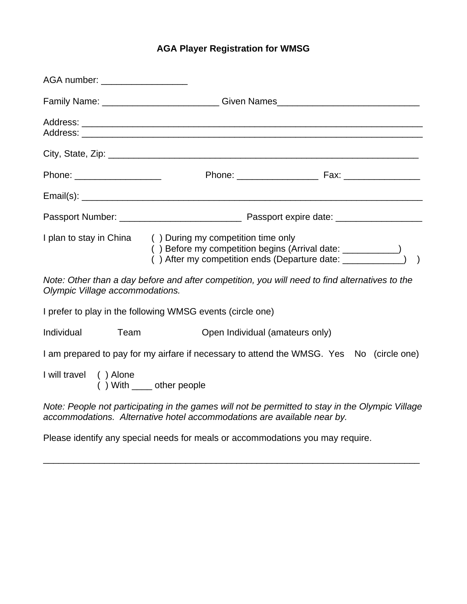## **AGA Player Registration for WMSG**

| AGA number: __________________  |                                                                                                                                                                                          |  |
|---------------------------------|------------------------------------------------------------------------------------------------------------------------------------------------------------------------------------------|--|
|                                 | Family Name: ___________________________Given Names_____________________________                                                                                                         |  |
|                                 |                                                                                                                                                                                          |  |
|                                 |                                                                                                                                                                                          |  |
|                                 |                                                                                                                                                                                          |  |
|                                 |                                                                                                                                                                                          |  |
|                                 |                                                                                                                                                                                          |  |
|                                 | I plan to stay in China () During my competition time only<br>() Before my competition begins (Arrival date: __________)<br>() After my competition ends (Departure date: ___________) ) |  |
| Olympic Village accommodations. | Note: Other than a day before and after competition, you will need to find alternatives to the                                                                                           |  |
|                                 | I prefer to play in the following WMSG events (circle one)                                                                                                                               |  |
| Individual<br>Team              | Open Individual (amateurs only)                                                                                                                                                          |  |
|                                 | I am prepared to pay for my airfare if necessary to attend the WMSG. Yes No (circle one)                                                                                                 |  |

I will travel ( ) Alone  $( )$  With  $\qquad \qquad$  other people

*Note: People not participating in the games will not be permitted to stay in the Olympic Village accommodations. Alternative hotel accommodations are available near by.*

\_\_\_\_\_\_\_\_\_\_\_\_\_\_\_\_\_\_\_\_\_\_\_\_\_\_\_\_\_\_\_\_\_\_\_\_\_\_\_\_\_\_\_\_\_\_\_\_\_\_\_\_\_\_\_\_\_\_\_\_\_\_\_\_\_\_\_\_\_\_\_\_\_\_

Please identify any special needs for meals or accommodations you may require.